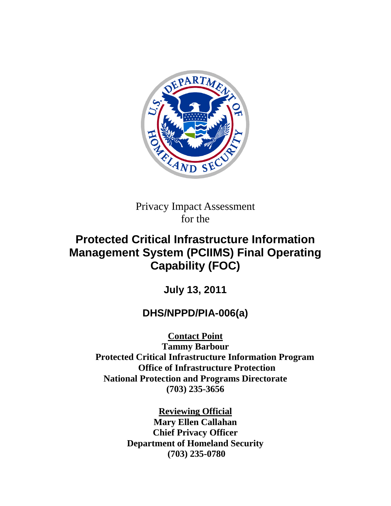

Privacy Impact Assessment for the

# **Protected Critical Infrastructure Information Management System (PCIIMS) Final Operating Capability (FOC)**

**July 13, 2011**

# **DHS/NPPD/PIA-006(a)**

**Contact Point**

**Tammy Barbour Protected Critical Infrastructure Information Program Office of Infrastructure Protection National Protection and Programs Directorate (703) 235-3656**

> **Reviewing Official Mary Ellen Callahan Chief Privacy Officer Department of Homeland Security (703) 235-0780**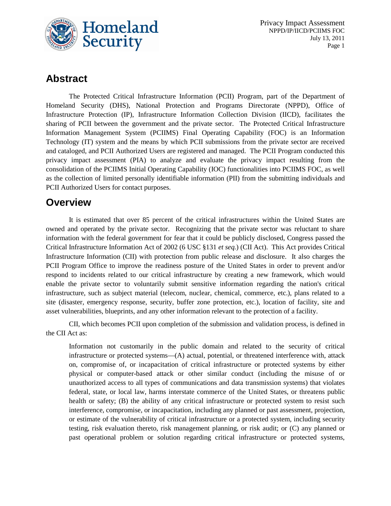

# **Abstract**

The Protected Critical Infrastructure Information (PCII) Program, part of the Department of Homeland Security (DHS), National Protection and Programs Directorate (NPPD), Office of Infrastructure Protection (IP), Infrastructure Information Collection Division (IICD), facilitates the sharing of PCII between the government and the private sector. The Protected Critical Infrastructure Information Management System (PCIIMS) Final Operating Capability (FOC) is an Information Technology (IT) system and the means by which PCII submissions from the private sector are received and cataloged, and PCII Authorized Users are registered and managed. The PCII Program conducted this privacy impact assessment (PIA) to analyze and evaluate the privacy impact resulting from the consolidation of the PCIIMS Initial Operating Capability (IOC) functionalities into PCIIMS FOC, as well as the collection of limited personally identifiable information (PII) from the submitting individuals and PCII Authorized Users for contact purposes.

# **Overview**

It is estimated that over 85 percent of the critical infrastructures within the United States are owned and operated by the private sector. Recognizing that the private sector was reluctant to share information with the federal government for fear that it could be publicly disclosed, Congress passed the Critical Infrastructure Information Act of 2002 (6 USC §131 *et seq.*) (CII Act). This Act provides Critical Infrastructure Information (CII) with protection from public release and disclosure. It also charges the PCII Program Office to improve the readiness posture of the United States in order to prevent and/or respond to incidents related to our critical infrastructure by creating a new framework, which would enable the private sector to voluntarily submit sensitive information regarding the nation's critical infrastructure, such as subject material (telecom, nuclear, chemical, commerce, etc.), plans related to a site (disaster, emergency response, security, buffer zone protection, etc.), location of facility, site and asset vulnerabilities, blueprints, and any other information relevant to the protection of a facility.

CII, which becomes PCII upon completion of the submission and validation process, is defined in the CII Act as:

Information not customarily in the public domain and related to the security of critical infrastructure or protected systems—(A) actual, potential, or threatened interference with, attack on, compromise of, or incapacitation of critical infrastructure or protected systems by either physical or computer-based attack or other similar conduct (including the misuse of or unauthorized access to all types of communications and data transmission systems) that violates federal, state, or local law, harms interstate commerce of the United States, or threatens public health or safety; (B) the ability of any critical infrastructure or protected system to resist such interference, compromise, or incapacitation, including any planned or past assessment, projection, or estimate of the vulnerability of critical infrastructure or a protected system, including security testing, risk evaluation thereto, risk management planning, or risk audit; or (C) any planned or past operational problem or solution regarding critical infrastructure or protected systems,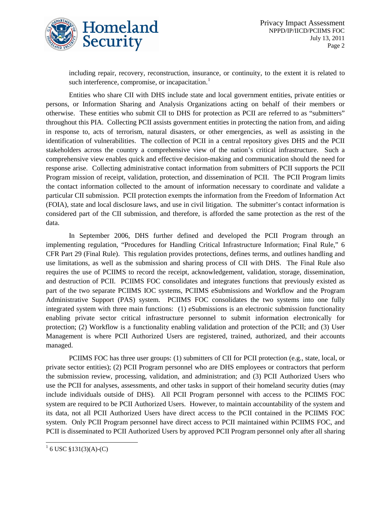

including repair, recovery, reconstruction, insurance, or continuity, to the extent it is related to such interference, compromise, or incapacitation. $<sup>1</sup>$  $<sup>1</sup>$  $<sup>1</sup>$ </sup>

Entities who share CII with DHS include state and local government entities, private entities or persons, or Information Sharing and Analysis Organizations acting on behalf of their members or otherwise. These entities who submit CII to DHS for protection as PCII are referred to as "submitters" throughout this PIA. Collecting PCII assists government entities in protecting the nation from, and aiding in response to, acts of terrorism, natural disasters, or other emergencies, as well as assisting in the identification of vulnerabilities. The collection of PCII in a central repository gives DHS and the PCII stakeholders across the country a comprehensive view of the nation's critical infrastructure. Such a comprehensive view enables quick and effective decision-making and communication should the need for response arise. Collecting administrative contact information from submitters of PCII supports the PCII Program mission of receipt, validation, protection, and dissemination of PCII. The PCII Program limits the contact information collected to the amount of information necessary to coordinate and validate a particular CII submission. PCII protection exempts the information from the Freedom of Information Act (FOIA), state and local disclosure laws, and use in civil litigation. The submitter's contact information is considered part of the CII submission, and therefore, is afforded the same protection as the rest of the data.

In September 2006, DHS further defined and developed the PCII Program through an implementing regulation, "Procedures for Handling Critical Infrastructure Information; Final Rule," 6 CFR Part 29 (Final Rule). This regulation provides protections, defines terms, and outlines handling and use limitations, as well as the submission and sharing process of CII with DHS. The Final Rule also requires the use of PCIIMS to record the receipt, acknowledgement, validation, storage, dissemination, and destruction of PCII. PCIIMS FOC consolidates and integrates functions that previously existed as part of the two separate PCIIMS IOC systems, PCIIMS eSubmissions and Workflow and the Program Administrative Support (PAS) system. PCIIMS FOC consolidates the two systems into one fully integrated system with three main functions: (1) eSubmissions is an electronic submission functionality enabling private sector critical infrastructure personnel to submit information electronically for protection; (2) Workflow is a functionality enabling validation and protection of the PCII; and (3) User Management is where PCII Authorized Users are registered, trained, authorized, and their accounts managed.

PCIIMS FOC has three user groups: (1) submitters of CII for PCII protection (e.g., state, local, or private sector entities); (2) PCII Program personnel who are DHS employees or contractors that perform the submission review, processing, validation, and administration; and (3) PCII Authorized Users who use the PCII for analyses, assessments, and other tasks in support of their homeland security duties (may include individuals outside of DHS). All PCII Program personnel with access to the PCIIMS FOC system are required to be PCII Authorized Users. However, to maintain accountability of the system and its data, not all PCII Authorized Users have direct access to the PCII contained in the PCIIMS FOC system. Only PCII Program personnel have direct access to PCII maintained within PCIIMS FOC, and PCII is disseminated to PCII Authorized Users by approved PCII Program personnel only after all sharing

<span id="page-2-0"></span> $^{1}$  6 USC §131(3)(A)-(C)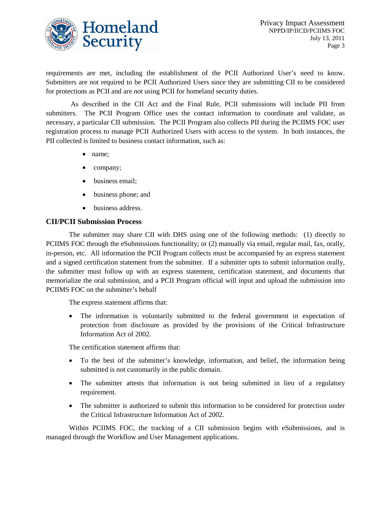

requirements are met, including the establishment of the PCII Authorized User's need to know. Submitters are not required to be PCII Authorized Users since they are submitting CII to be considered for protections as PCII and are not using PCII for homeland security duties.

As described in the CII Act and the Final Rule, PCII submissions will include PII from submitters. The PCII Program Office uses the contact information to coordinate and validate, as necessary, a particular CII submission. The PCII Program also collects PII during the PCIIMS FOC user registration process to manage PCII Authorized Users with access to the system. In both instances, the PII collected is limited to business contact information, such as:

- name;
- company;
- business email;
- business phone; and
- business address.

#### **CII/PCII Submission Process**

The submitter may share CII with DHS using one of the following methods: (1) directly to PCIIMS FOC through the eSubmissions functionality; or (2) manually via email, regular mail, fax, orally, in-person, etc. All information the PCII Program collects must be accompanied by an express statement and a signed certification statement from the submitter. If a submitter opts to submit information orally, the submitter must follow up with an express statement, certification statement, and documents that memorialize the oral submission, and a PCII Program official will input and upload the submission into PCIIMS FOC on the submitter's behalf

The express statement affirms that:

• The information is voluntarily submitted to the federal government in expectation of protection from disclosure as provided by the provisions of the Critical Infrastructure Information Act of 2002.

The certification statement affirms that:

- To the best of the submitter's knowledge, information, and belief, the information being submitted is not customarily in the public domain.
- The submitter attests that information is not being submitted in lieu of a regulatory requirement.
- The submitter is authorized to submit this information to be considered for protection under the Critical Infrastructure Information Act of 2002.

Within PCIIMS FOC, the tracking of a CII submission begins with eSubmissions, and is managed through the Workflow and User Management applications.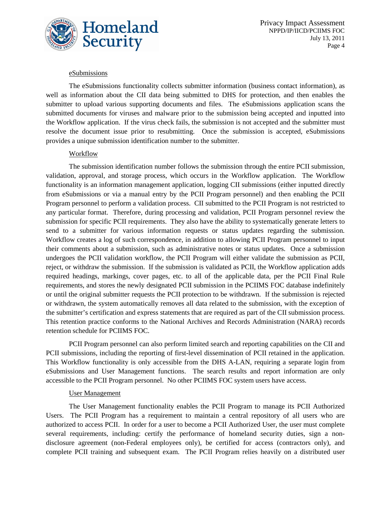

#### eSubmissions

The eSubmissions functionality collects submitter information (business contact information), as well as information about the CII data being submitted to DHS for protection, and then enables the submitter to upload various supporting documents and files. The eSubmissions application scans the submitted documents for viruses and malware prior to the submission being accepted and inputted into the Workflow application. If the virus check fails, the submission is not accepted and the submitter must resolve the document issue prior to resubmitting. Once the submission is accepted, eSubmissions provides a unique submission identification number to the submitter.

#### Workflow

The submission identification number follows the submission through the entire PCII submission, validation, approval, and storage process, which occurs in the Workflow application. The Workflow functionality is an information management application, logging CII submissions (either inputted directly from eSubmissions or via a manual entry by the PCII Program personnel) and then enabling the PCII Program personnel to perform a validation process. CII submitted to the PCII Program is not restricted to any particular format. Therefore, during processing and validation, PCII Program personnel review the submission for specific PCII requirements. They also have the ability to systematically generate letters to send to a submitter for various information requests or status updates regarding the submission. Workflow creates a log of such correspondence, in addition to allowing PCII Program personnel to input their comments about a submission, such as administrative notes or status updates. Once a submission undergoes the PCII validation workflow, the PCII Program will either validate the submission as PCII, reject, or withdraw the submission. If the submission is validated as PCII, the Workflow application adds required headings, markings, cover pages, etc. to all of the applicable data, per the PCII Final Rule requirements, and stores the newly designated PCII submission in the PCIIMS FOC database indefinitely or until the original submitter requests the PCII protection to be withdrawn. If the submission is rejected or withdrawn, the system automatically removes all data related to the submission, with the exception of the submitter's certification and express statements that are required as part of the CII submission process. This retention practice conforms to the National Archives and Records Administration (NARA) records retention schedule for PCIIMS FOC.

PCII Program personnel can also perform limited search and reporting capabilities on the CII and PCII submissions, including the reporting of first-level dissemination of PCII retained in the application. This Workflow functionality is only accessible from the DHS A-LAN, requiring a separate login from eSubmissions and User Management functions. The search results and report information are only accessible to the PCII Program personnel. No other PCIIMS FOC system users have access.

#### User Management

The User Management functionality enables the PCII Program to manage its PCII Authorized Users. The PCII Program has a requirement to maintain a central repository of all users who are authorized to access PCII. In order for a user to become a PCII Authorized User, the user must complete several requirements, including: certify the performance of homeland security duties, sign a nondisclosure agreement (non-Federal employees only), be certified for access (contractors only), and complete PCII training and subsequent exam. The PCII Program relies heavily on a distributed user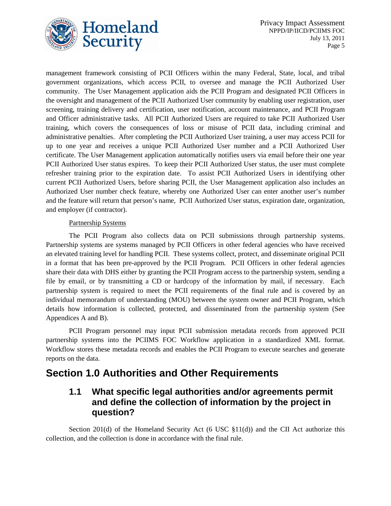

management framework consisting of PCII Officers within the many Federal, State, local, and tribal government organizations, which access PCII, to oversee and manage the PCII Authorized User community. The User Management application aids the PCII Program and designated PCII Officers in the oversight and management of the PCII Authorized User community by enabling user registration, user screening, training delivery and certification, user notification, account maintenance, and PCII Program and Officer administrative tasks. All PCII Authorized Users are required to take PCII Authorized User training, which covers the consequences of loss or misuse of PCII data, including criminal and administrative penalties. After completing the PCII Authorized User training, a user may access PCII for up to one year and receives a unique PCII Authorized User number and a PCII Authorized User certificate. The User Management application automatically notifies users via email before their one year PCII Authorized User status expires. To keep their PCII Authorized User status, the user must complete refresher training prior to the expiration date. To assist PCII Authorized Users in identifying other current PCII Authorized Users, before sharing PCII, the User Management application also includes an Authorized User number check feature, whereby one Authorized User can enter another user's number and the feature will return that person's name, PCII Authorized User status, expiration date, organization, and employer (if contractor).

#### Partnership Systems

The PCII Program also collects data on PCII submissions through partnership systems. Partnership systems are systems managed by PCII Officers in other federal agencies who have received an elevated training level for handling PCII. These systems collect, protect, and disseminate original PCII in a format that has been pre-approved by the PCII Program. PCII Officers in other federal agencies share their data with DHS either by granting the PCII Program access to the partnership system, sending a file by email, or by transmitting a CD or hardcopy of the information by mail, if necessary. Each partnership system is required to meet the PCII requirements of the final rule and is covered by an individual memorandum of understanding (MOU) between the system owner and PCII Program, which details how information is collected, protected, and disseminated from the partnership system (See Appendices A and B).

PCII Program personnel may input PCII submission metadata records from approved PCII partnership systems into the PCIIMS FOC Workflow application in a standardized XML format. Workflow stores these metadata records and enables the PCII Program to execute searches and generate reports on the data.

# **Section 1.0 Authorities and Other Requirements**

### **1.1 What specific legal authorities and/or agreements permit and define the collection of information by the project in question?**

Section 201(d) of the Homeland Security Act (6 USC  $\S11(d)$ ) and the CII Act authorize this collection, and the collection is done in accordance with the final rule.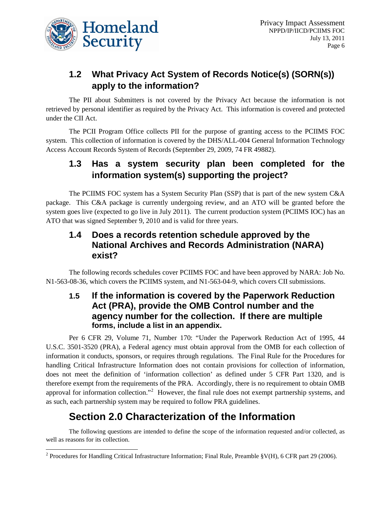

# **1.2 What Privacy Act System of Records Notice(s) (SORN(s)) apply to the information?**

The PII about Submitters is not covered by the Privacy Act because the information is not retrieved by personal identifier as required by the Privacy Act. This information is covered and protected under the CII Act.

The PCII Program Office collects PII for the purpose of granting access to the PCIIMS FOC system. This collection of information is covered by the DHS/ALL-004 General Information Technology Access Account Records System of Records (September 29, 2009, 74 FR 49882).

### **1.3 Has a system security plan been completed for the information system(s) supporting the project?**

The PCIIMS FOC system has a System Security Plan (SSP) that is part of the new system C&A package. This C&A package is currently undergoing review, and an ATO will be granted before the system goes live (expected to go live in July 2011). The current production system (PCIIMS IOC) has an ATO that was signed September 9, 2010 and is valid for three years.

### **1.4 Does a records retention schedule approved by the National Archives and Records Administration (NARA) exist?**

The following records schedules cover PCIIMS FOC and have been approved by NARA: Job No. N1-563-08-36, which covers the PCIIMS system, and N1-563-04-9, which covers CII submissions.

### **1.5 If the information is covered by the Paperwork Reduction Act (PRA), provide the OMB Control number and the agency number for the collection. If there are multiple forms, include a list in an appendix.**

Per 6 CFR 29, Volume 71, Number 170: "Under the Paperwork Reduction Act of 1995, 44 U.S.C. 3501-3520 (PRA), a Federal agency must obtain approval from the OMB for each collection of information it conducts, sponsors, or requires through regulations. The Final Rule for the Procedures for handling Critical Infrastructure Information does not contain provisions for collection of information, does not meet the definition of 'information collection' as defined under 5 CFR Part 1320, and is therefore exempt from the requirements of the PRA. Accordingly, there is no requirement to obtain OMB approval for information collection."<sup>[2](#page-6-0)</sup> However, the final rule does not exempt partnership systems, and as such, each partnership system may be required to follow PRA guidelines.

# **Section 2.0 Characterization of the Information**

The following questions are intended to define the scope of the information requested and/or collected, as well as reasons for its collection.

<span id="page-6-0"></span><sup>&</sup>lt;sup>2</sup> Procedures for Handling Critical Infrastructure Information; Final Rule, Preamble §V(H), 6 CFR part 29 (2006).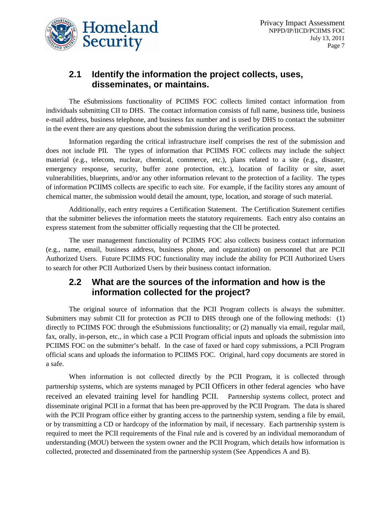

## **2.1 Identify the information the project collects, uses, disseminates, or maintains.**

The eSubmissions functionality of PCIIMS FOC collects limited contact information from individuals submitting CII to DHS. The contact information consists of full name, business title, business e-mail address, business telephone, and business fax number and is used by DHS to contact the submitter in the event there are any questions about the submission during the verification process.

Information regarding the critical infrastructure itself comprises the rest of the submission and does not include PII. The types of information that PCIIMS FOC collects may include the subject material (e.g., telecom, nuclear, chemical, commerce, etc.), plans related to a site (e.g., disaster, emergency response, security, buffer zone protection, etc.), location of facility or site, asset vulnerabilities, blueprints, and/or any other information relevant to the protection of a facility. The types of information PCIIMS collects are specific to each site. For example, if the facility stores any amount of chemical matter, the submission would detail the amount, type, location, and storage of such material.

Additionally, each entry requires a Certification Statement. The Certification Statement certifies that the submitter believes the information meets the statutory requirements. Each entry also contains an express statement from the submitter officially requesting that the CII be protected.

The user management functionality of PCIIMS FOC also collects business contact information (e.g., name, email, business address, business phone, and organization) on personnel that are PCII Authorized Users. Future PCIIMS FOC functionality may include the ability for PCII Authorized Users to search for other PCII Authorized Users by their business contact information.

### **2.2 What are the sources of the information and how is the information collected for the project?**

The original source of information that the PCII Program collects is always the submitter. Submitters may submit CII for protection as PCII to DHS through one of the following methods: (1) directly to PCIIMS FOC through the eSubmissions functionality; or (2) manually via email, regular mail, fax, orally, in-person, etc., in which case a PCII Program official inputs and uploads the submission into PCIIMS FOC on the submitter's behalf. In the case of faxed or hard copy submissions, a PCII Program official scans and uploads the information to PCIIMS FOC. Original, hard copy documents are stored in a safe.

When information is not collected directly by the PCII Program, it is collected through partnership systems, which are systems managed by PCII Officers in other federal agencies who have received an elevated training level for handling PCII. Partnership systems collect, protect and disseminate original PCII in a format that has been pre-approved by the PCII Program. The data is shared with the PCII Program office either by granting access to the partnership system, sending a file by email, or by transmitting a CD or hardcopy of the information by mail, if necessary. Each partnership system is required to meet the PCII requirements of the Final rule and is covered by an individual memorandum of understanding (MOU) between the system owner and the PCII Program, which details how information is collected, protected and disseminated from the partnership system (See Appendices A and B).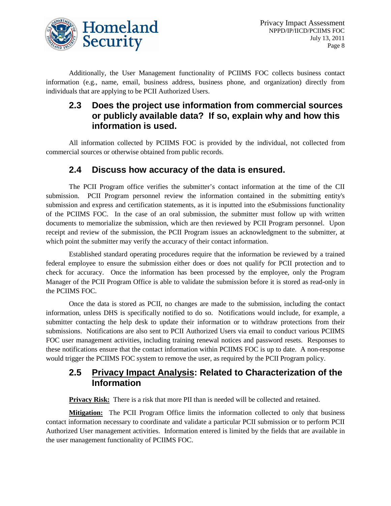

Additionally, the User Management functionality of PCIIMS FOC collects business contact information (e.g., name, email, business address, business phone, and organization) directly from individuals that are applying to be PCII Authorized Users.

### **2.3 Does the project use information from commercial sources or publicly available data? If so, explain why and how this information is used.**

All information collected by PCIIMS FOC is provided by the individual, not collected from commercial sources or otherwise obtained from public records.

#### **2.4 Discuss how accuracy of the data is ensured.**

The PCII Program office verifies the submitter's contact information at the time of the CII submission. PCII Program personnel review the information contained in the submitting entity's submission and express and certification statements, as it is inputted into the eSubmissions functionality of the PCIIMS FOC. In the case of an oral submission, the submitter must follow up with written documents to memorialize the submission, which are then reviewed by PCII Program personnel. Upon receipt and review of the submission, the PCII Program issues an acknowledgment to the submitter, at which point the submitter may verify the accuracy of their contact information.

Established standard operating procedures require that the information be reviewed by a trained federal employee to ensure the submission either does or does not qualify for PCII protection and to check for accuracy. Once the information has been processed by the employee, only the Program Manager of the PCII Program Office is able to validate the submission before it is stored as read-only in the PCIIMS FOC.

Once the data is stored as PCII, no changes are made to the submission, including the contact information, unless DHS is specifically notified to do so. Notifications would include, for example, a submitter contacting the help desk to update their information or to withdraw protections from their submissions. Notifications are also sent to PCII Authorized Users via email to conduct various PCIIMS FOC user management activities, including training renewal notices and password resets. Responses to these notifications ensure that the contact information within PCIIMS FOC is up to date. A non-response would trigger the PCIIMS FOC system to remove the user, as required by the PCII Program policy.

### **2.5 Privacy Impact Analysis: Related to Characterization of the Information**

**Privacy Risk:** There is a risk that more PII than is needed will be collected and retained.

**Mitigation:** The PCII Program Office limits the information collected to only that business contact information necessary to coordinate and validate a particular PCII submission or to perform PCII Authorized User management activities. Information entered is limited by the fields that are available in the user management functionality of PCIIMS FOC.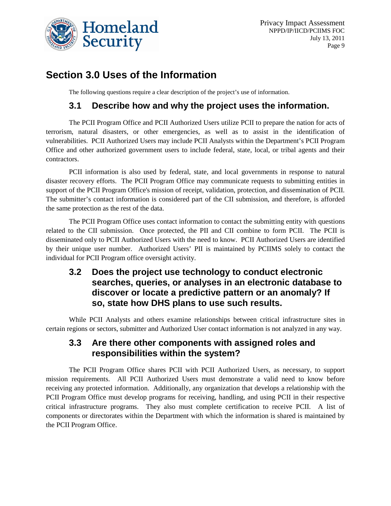

# **Section 3.0 Uses of the Information**

The following questions require a clear description of the project's use of information.

### **3.1 Describe how and why the project uses the information.**

The PCII Program Office and PCII Authorized Users utilize PCII to prepare the nation for acts of terrorism, natural disasters, or other emergencies, as well as to assist in the identification of vulnerabilities. PCII Authorized Users may include PCII Analysts within the Department's PCII Program Office and other authorized government users to include federal, state, local, or tribal agents and their contractors.

PCII information is also used by federal, state, and local governments in response to natural disaster recovery efforts. The PCII Program Office may communicate requests to submitting entities in support of the PCII Program Office's mission of receipt, validation, protection, and dissemination of PCII. The submitter's contact information is considered part of the CII submission, and therefore, is afforded the same protection as the rest of the data.

The PCII Program Office uses contact information to contact the submitting entity with questions related to the CII submission. Once protected, the PII and CII combine to form PCII. The PCII is disseminated only to PCII Authorized Users with the need to know. PCII Authorized Users are identified by their unique user number. Authorized Users' PII is maintained by PCIIMS solely to contact the individual for PCII Program office oversight activity.

### **3.2 Does the project use technology to conduct electronic searches, queries, or analyses in an electronic database to discover or locate a predictive pattern or an anomaly? If so, state how DHS plans to use such results.**

While PCII Analysts and others examine relationships between critical infrastructure sites in certain regions or sectors, submitter and Authorized User contact information is not analyzed in any way.

### **3.3 Are there other components with assigned roles and responsibilities within the system?**

The PCII Program Office shares PCII with PCII Authorized Users, as necessary, to support mission requirements. All PCII Authorized Users must demonstrate a valid need to know before receiving any protected information. Additionally, any organization that develops a relationship with the PCII Program Office must develop programs for receiving, handling, and using PCII in their respective critical infrastructure programs. They also must complete certification to receive PCII. A list of components or directorates within the Department with which the information is shared is maintained by the PCII Program Office.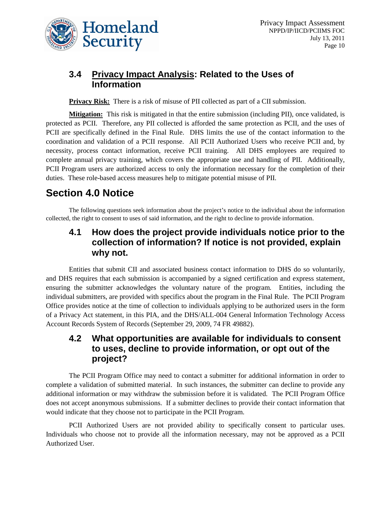

## **3.4 Privacy Impact Analysis: Related to the Uses of Information**

**Privacy Risk:** There is a risk of misuse of PII collected as part of a CII submission.

**Mitigation:** This risk is mitigated in that the entire submission (including PII), once validated, is protected as PCII. Therefore, any PII collected is afforded the same protection as PCII, and the uses of PCII are specifically defined in the Final Rule. DHS limits the use of the contact information to the coordination and validation of a PCII response. All PCII Authorized Users who receive PCII and, by necessity, process contact information, receive PCII training. All DHS employees are required to complete annual privacy training, which covers the appropriate use and handling of PII. Additionally, PCII Program users are authorized access to only the information necessary for the completion of their duties. These role-based access measures help to mitigate potential misuse of PII.

# **Section 4.0 Notice**

The following questions seek information about the project's notice to the individual about the information collected, the right to consent to uses of said information, and the right to decline to provide information.

### **4.1 How does the project provide individuals notice prior to the collection of information? If notice is not provided, explain why not.**

Entities that submit CII and associated business contact information to DHS do so voluntarily, and DHS requires that each submission is accompanied by a signed certification and express statement, ensuring the submitter acknowledges the voluntary nature of the program. Entities, including the individual submitters, are provided with specifics about the program in the Final Rule. The PCII Program Office provides notice at the time of collection to individuals applying to be authorized users in the form of a Privacy Act statement, in this PIA, and the DHS/ALL-004 General Information Technology Access Account Records System of Records (September 29, 2009, 74 FR 49882).

### **4.2 What opportunities are available for individuals to consent to uses, decline to provide information, or opt out of the project?**

The PCII Program Office may need to contact a submitter for additional information in order to complete a validation of submitted material. In such instances, the submitter can decline to provide any additional information or may withdraw the submission before it is validated. The PCII Program Office does not accept anonymous submissions. If a submitter declines to provide their contact information that would indicate that they choose not to participate in the PCII Program.

PCII Authorized Users are not provided ability to specifically consent to particular uses. Individuals who choose not to provide all the information necessary, may not be approved as a PCII Authorized User.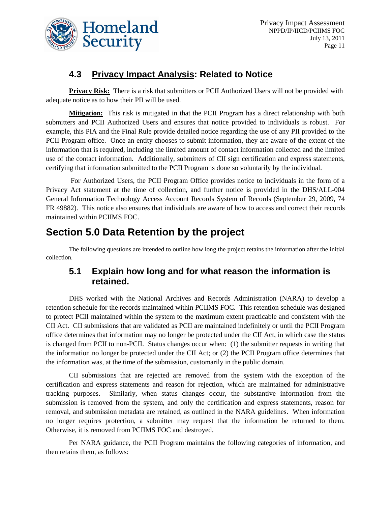

### **4.3 Privacy Impact Analysis: Related to Notice**

**Privacy Risk:** There is a risk that submitters or PCII Authorized Users will not be provided with adequate notice as to how their PII will be used.

**Mitigation:** This risk is mitigated in that the PCII Program has a direct relationship with both submitters and PCII Authorized Users and ensures that notice provided to individuals is robust. For example, this PIA and the Final Rule provide detailed notice regarding the use of any PII provided to the PCII Program office. Once an entity chooses to submit information, they are aware of the extent of the information that is required, including the limited amount of contact information collected and the limited use of the contact information. Additionally, submitters of CII sign certification and express statements, certifying that information submitted to the PCII Program is done so voluntarily by the individual.

For Authorized Users, the PCII Program Office provides notice to individuals in the form of a Privacy Act statement at the time of collection, and further notice is provided in the DHS/ALL-004 General Information Technology Access Account Records System of Records (September 29, 2009, 74 FR 49882). This notice also ensures that individuals are aware of how to access and correct their records maintained within PCIIMS FOC.

# **Section 5.0 Data Retention by the project**

The following questions are intended to outline how long the project retains the information after the initial collection.

### **5.1 Explain how long and for what reason the information is retained.**

DHS worked with the National Archives and Records Administration (NARA) to develop a retention schedule for the records maintained within PCIIMS FOC. This retention schedule was designed to protect PCII maintained within the system to the maximum extent practicable and consistent with the CII Act. CII submissions that are validated as PCII are maintained indefinitely or until the PCII Program office determines that information may no longer be protected under the CII Act, in which case the status is changed from PCII to non-PCII. Status changes occur when: (1) the submitter requests in writing that the information no longer be protected under the CII Act; or (2) the PCII Program office determines that the information was, at the time of the submission, customarily in the public domain.

CII submissions that are rejected are removed from the system with the exception of the certification and express statements and reason for rejection, which are maintained for administrative tracking purposes. Similarly, when status changes occur, the substantive information from the submission is removed from the system, and only the certification and express statements, reason for removal, and submission metadata are retained, as outlined in the NARA guidelines. When information no longer requires protection, a submitter may request that the information be returned to them. Otherwise, it is removed from PCIIMS FOC and destroyed.

Per NARA guidance, the PCII Program maintains the following categories of information, and then retains them, as follows: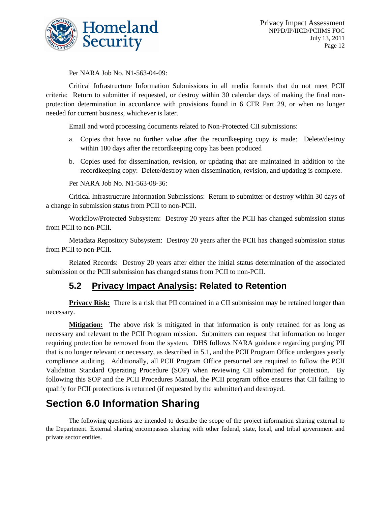

Per NARA Job No. N1-563-04-09:

Critical Infrastructure Information Submissions in all media formats that do not meet PCII criteria: Return to submitter if requested, or destroy within 30 calendar days of making the final nonprotection determination in accordance with provisions found in 6 CFR Part 29, or when no longer needed for current business, whichever is later.

Email and word processing documents related to Non-Protected CII submissions:

- a. Copies that have no further value after the recordkeeping copy is made: Delete/destroy within 180 days after the recordkeeping copy has been produced
- b. Copies used for dissemination, revision, or updating that are maintained in addition to the recordkeeping copy: Delete/destroy when dissemination, revision, and updating is complete.

Per NARA Job No. N1-563-08-36:

Critical Infrastructure Information Submissions: Return to submitter or destroy within 30 days of a change in submission status from PCII to non-PCII.

Workflow/Protected Subsystem: Destroy 20 years after the PCII has changed submission status from PCII to non-PCII.

Metadata Repository Subsystem: Destroy 20 years after the PCII has changed submission status from PCII to non-PCII.

Related Records: Destroy 20 years after either the initial status determination of the associated submission or the PCII submission has changed status from PCII to non-PCII.

### **5.2 Privacy Impact Analysis: Related to Retention**

**Privacy Risk:** There is a risk that PII contained in a CII submission may be retained longer than necessary.

**Mitigation:** The above risk is mitigated in that information is only retained for as long as necessary and relevant to the PCII Program mission. Submitters can request that information no longer requiring protection be removed from the system. DHS follows NARA guidance regarding purging PII that is no longer relevant or necessary, as described in 5.1, and the PCII Program Office undergoes yearly compliance auditing. Additionally, all PCII Program Office personnel are required to follow the PCII Validation Standard Operating Procedure (SOP) when reviewing CII submitted for protection. By following this SOP and the PCII Procedures Manual, the PCII program office ensures that CII failing to qualify for PCII protections is returned (if requested by the submitter) and destroyed.

# **Section 6.0 Information Sharing**

The following questions are intended to describe the scope of the project information sharing external to the Department. External sharing encompasses sharing with other federal, state, local, and tribal government and private sector entities.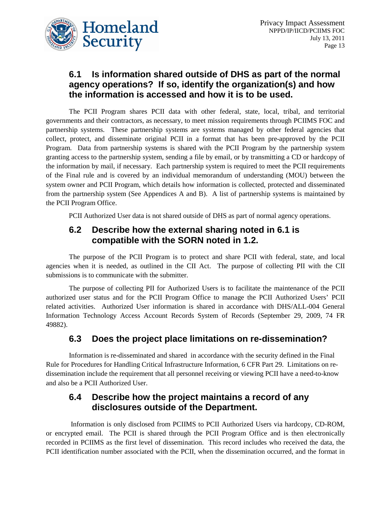

### **6.1 Is information shared outside of DHS as part of the normal agency operations? If so, identify the organization(s) and how the information is accessed and how it is to be used.**

The PCII Program shares PCII data with other federal, state, local, tribal, and territorial governments and their contractors, as necessary, to meet mission requirements through PCIIMS FOC and partnership systems. These partnership systems are systems managed by other federal agencies that collect, protect, and disseminate original PCII in a format that has been pre-approved by the PCII Program. Data from partnership systems is shared with the PCII Program by the partnership system granting access to the partnership system, sending a file by email, or by transmitting a CD or hardcopy of the information by mail, if necessary. Each partnership system is required to meet the PCII requirements of the Final rule and is covered by an individual memorandum of understanding (MOU) between the system owner and PCII Program, which details how information is collected, protected and disseminated from the partnership system (See Appendices A and B). A list of partnership systems is maintained by the PCII Program Office.

PCII Authorized User data is not shared outside of DHS as part of normal agency operations.

### **6.2 Describe how the external sharing noted in 6.1 is compatible with the SORN noted in 1.2.**

The purpose of the PCII Program is to protect and share PCII with federal, state, and local agencies when it is needed, as outlined in the CII Act. The purpose of collecting PII with the CII submissions is to communicate with the submitter.

The purpose of collecting PII for Authorized Users is to facilitate the maintenance of the PCII authorized user status and for the PCII Program Office to manage the PCII Authorized Users' PCII related activities. Authorized User information is shared in accordance with DHS/ALL-004 General Information Technology Access Account Records System of Records (September 29, 2009, 74 FR 49882).

### **6.3 Does the project place limitations on re-dissemination?**

Information is re-disseminated and shared in accordance with the security defined in the Final Rule for Procedures for Handling Critical Infrastructure Information, 6 CFR Part 29. Limitations on redissemination include the requirement that all personnel receiving or viewing PCII have a need-to-know and also be a PCII Authorized User.

### **6.4 Describe how the project maintains a record of any disclosures outside of the Department.**

Information is only disclosed from PCIIMS to PCII Authorized Users via hardcopy, CD-ROM, or encrypted email. The PCII is shared through the PCII Program Office and is then electronically recorded in PCIIMS as the first level of dissemination. This record includes who received the data, the PCII identification number associated with the PCII, when the dissemination occurred, and the format in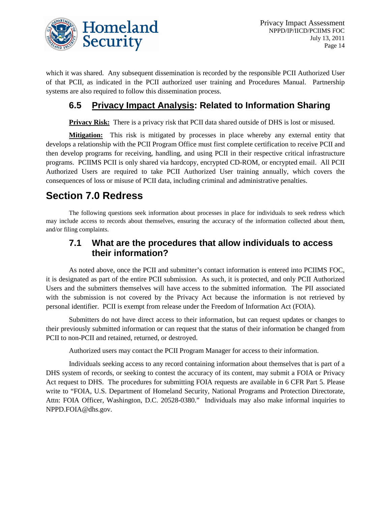

which it was shared. Any subsequent dissemination is recorded by the responsible PCII Authorized User of that PCII, as indicated in the PCII authorized user training and Procedures Manual. Partnership systems are also required to follow this dissemination process.

### **6.5 Privacy Impact Analysis: Related to Information Sharing**

**Privacy Risk:** There is a privacy risk that PCII data shared outside of DHS is lost or misused.

**Mitigation:** This risk is mitigated by processes in place whereby any external entity that develops a relationship with the PCII Program Office must first complete certification to receive PCII and then develop programs for receiving, handling, and using PCII in their respective critical infrastructure programs. PCIIMS PCII is only shared via hardcopy, encrypted CD-ROM, or encrypted email. All PCII Authorized Users are required to take PCII Authorized User training annually, which covers the consequences of loss or misuse of PCII data, including criminal and administrative penalties.

# **Section 7.0 Redress**

The following questions seek information about processes in place for individuals to seek redress which may include access to records about themselves, ensuring the accuracy of the information collected about them, and/or filing complaints.

### **7.1 What are the procedures that allow individuals to access their information?**

As noted above, once the PCII and submitter's contact information is entered into PCIIMS FOC, it is designated as part of the entire PCII submission. As such, it is protected, and only PCII Authorized Users and the submitters themselves will have access to the submitted information. The PII associated with the submission is not covered by the Privacy Act because the information is not retrieved by personal identifier. PCII is exempt from release under the Freedom of Information Act (FOIA).

Submitters do not have direct access to their information, but can request updates or changes to their previously submitted information or can request that the status of their information be changed from PCII to non-PCII and retained, returned, or destroyed.

Authorized users may contact the PCII Program Manager for access to their information.

Individuals seeking access to any record containing information about themselves that is part of a DHS system of records, or seeking to contest the accuracy of its content, may submit a FOIA or Privacy Act request to DHS. The procedures for submitting FOIA requests are available in 6 CFR Part 5. Please write to "FOIA, U.S. Department of Homeland Security, National Programs and Protection Directorate, Attn: FOIA Officer, Washington, D.C. 20528-0380." Individuals may also make informal inquiries to NPPD.FOIA@dhs.gov.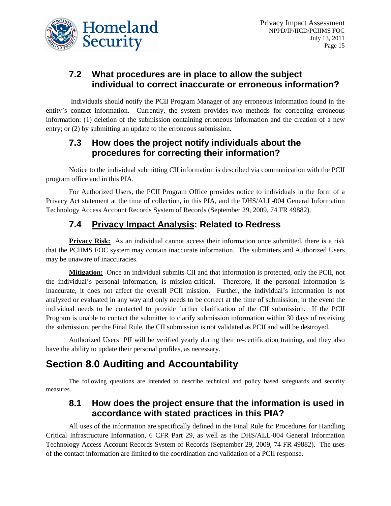

### **7.2 What procedures are in place to allow the subject individual to correct inaccurate or erroneous information?**

Individuals should notify the PCII Program Manager of any erroneous information found in the entity's contact information. Currently, the system provides two methods for correcting erroneous information: (1) deletion of the submission containing erroneous information and the creation of a new entry; or (2) by submitting an update to the erroneous submission.

### **7.3 How does the project notify individuals about the procedures for correcting their information?**

Notice to the individual submitting CII information is described via communication with the PCII program office and in this PIA.

For Authorized Users, the PCII Program Office provides notice to individuals in the form of a Privacy Act statement at the time of collection, in this PIA, and the DHS/ALL-004 General Information Technology Access Account Records System of Records (September 29, 2009, 74 FR 49882).

# **7.4 Privacy Impact Analysis: Related to Redress**

**Privacy Risk:** As an individual cannot access their information once submitted, there is a risk that the PCIIMS FOC system may contain inaccurate information. The submitters and Authorized Users may be unaware of inaccuracies.

**Mitigation:** Once an individual submits CII and that information is protected, only the PCII, not the individual's personal information, is mission-critical. Therefore, if the personal information is inaccurate, it does not affect the overall PCII mission. Further, the individual's information is not analyzed or evaluated in any way and only needs to be correct at the time of submission, in the event the individual needs to be contacted to provide further clarification of the CII submission. If the PCII Program is unable to contact the submitter to clarify submission information within 30 days of receiving the submission, per the Final Rule, the CII submission is not validated as PCII and will be destroyed.

Authorized Users' PII will be verified yearly during their re-certification training, and they also have the ability to update their personal profiles, as necessary.

# **Section 8.0 Auditing and Accountability**

The following questions are intended to describe technical and policy based safeguards and security measures.

### **8.1 How does the project ensure that the information is used in accordance with stated practices in this PIA?**

All uses of the information are specifically defined in the Final Rule for Procedures for Handling Critical Infrastructure Information, 6 CFR Part 29, as well as the DHS/ALL-004 General Information Technology Access Account Records System of Records (September 29, 2009, 74 FR 49882). The uses of the contact information are limited to the coordination and validation of a PCII response.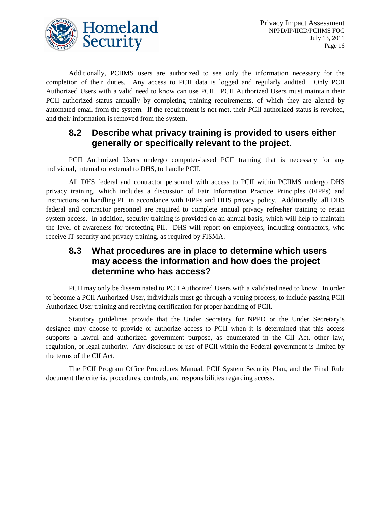

Additionally, PCIIMS users are authorized to see only the information necessary for the completion of their duties. Any access to PCII data is logged and regularly audited. Only PCII Authorized Users with a valid need to know can use PCII. PCII Authorized Users must maintain their PCII authorized status annually by completing training requirements, of which they are alerted by automated email from the system. If the requirement is not met, their PCII authorized status is revoked, and their information is removed from the system.

### **8.2 Describe what privacy training is provided to users either generally or specifically relevant to the project.**

PCII Authorized Users undergo computer-based PCII training that is necessary for any individual, internal or external to DHS, to handle PCII.

All DHS federal and contractor personnel with access to PCII within PCIIMS undergo DHS privacy training, which includes a discussion of Fair Information Practice Principles (FIPPs) and instructions on handling PII in accordance with FIPPs and DHS privacy policy. Additionally, all DHS federal and contractor personnel are required to complete annual privacy refresher training to retain system access. In addition, security training is provided on an annual basis, which will help to maintain the level of awareness for protecting PII. DHS will report on employees, including contractors, who receive IT security and privacy training, as required by FISMA.

### **8.3 What procedures are in place to determine which users may access the information and how does the project determine who has access?**

PCII may only be disseminated to PCII Authorized Users with a validated need to know. In order to become a PCII Authorized User, individuals must go through a vetting process, to include passing PCII Authorized User training and receiving certification for proper handling of PCII.

Statutory guidelines provide that the Under Secretary for NPPD or the Under Secretary's designee may choose to provide or authorize access to PCII when it is determined that this access supports a lawful and authorized government purpose, as enumerated in the CII Act, other law, regulation, or legal authority. Any disclosure or use of PCII within the Federal government is limited by the terms of the CII Act.

The PCII Program Office Procedures Manual, PCII System Security Plan, and the Final Rule document the criteria, procedures, controls, and responsibilities regarding access.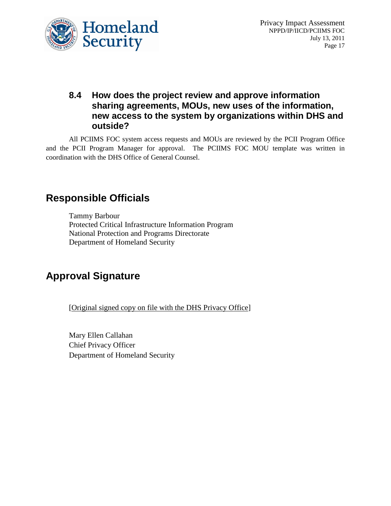

### **8.4 How does the project review and approve information sharing agreements, MOUs, new uses of the information, new access to the system by organizations within DHS and outside?**

All PCIIMS FOC system access requests and MOUs are reviewed by the PCII Program Office and the PCII Program Manager for approval. The PCIIMS FOC MOU template was written in coordination with the DHS Office of General Counsel.

# **Responsible Officials**

Tammy Barbour Protected Critical Infrastructure Information Program National Protection and Programs Directorate Department of Homeland Security

# **Approval Signature**

[Original signed copy on file with the DHS Privacy Office]

Mary Ellen Callahan Chief Privacy Officer Department of Homeland Security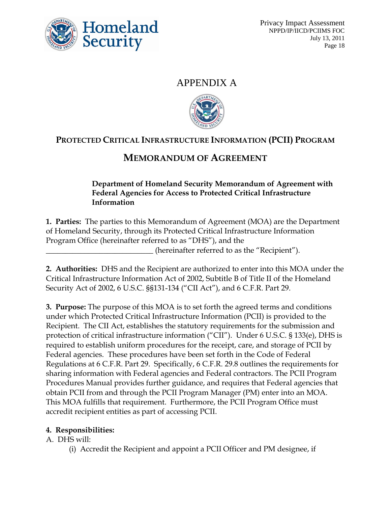

## APPENDIX A



# **PROTECTED CRITICAL INFRASTRUCTURE INFORMATION (PCII) PROGRAM**

# **MEMORANDUM OF AGREEMENT**

#### **Department of Homeland Security Memorandum of Agreement with Federal Agencies for Access to Protected Critical Infrastructure Information**

**1. Parties:** The parties to this Memorandum of Agreement (MOA) are the Department of Homeland Security, through its Protected Critical Infrastructure Information Program Office (hereinafter referred to as "DHS"), and the

(hereinafter referred to as the "Recipient").

**2. Authorities:** DHS and the Recipient are authorized to enter into this MOA under the Critical Infrastructure Information Act of 2002, Subtitle B of Title II of the Homeland Security Act of 2002, 6 U.S.C. §§131-134 ("CII Act"), and 6 C.F.R. Part 29.

**3. Purpose:** The purpose of this MOA is to set forth the agreed terms and conditions under which Protected Critical Infrastructure Information (PCII) is provided to the Recipient. The CII Act, establishes the statutory requirements for the submission and protection of critical infrastructure information ("CII"). Under 6 U.S.C. § 133(e), DHS is required to establish uniform procedures for the receipt, care, and storage of PCII by Federal agencies. These procedures have been set forth in the Code of Federal Regulations at 6 C.F.R. Part 29. Specifically, 6 C.F.R. 29.8 outlines the requirements for sharing information with Federal agencies and Federal contractors. The PCII Program Procedures Manual provides further guidance, and requires that Federal agencies that obtain PCII from and through the PCII Program Manager (PM) enter into an MOA. This MOA fulfills that requirement. Furthermore, the PCII Program Office must accredit recipient entities as part of accessing PCII.

#### **4. Responsibilities:**

A. DHS will:

(i) Accredit the Recipient and appoint a PCII Officer and PM designee, if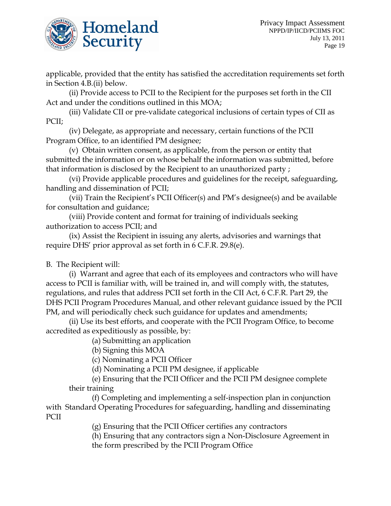

applicable, provided that the entity has satisfied the accreditation requirements set forth in Section 4.B.(ii) below.

(ii) Provide access to PCII to the Recipient for the purposes set forth in the CII Act and under the conditions outlined in this MOA;

(iii) Validate CII or pre-validate categorical inclusions of certain types of CII as PCII;

(iv) Delegate, as appropriate and necessary, certain functions of the PCII Program Office, to an identified PM designee;

(v) Obtain written consent, as applicable, from the person or entity that submitted the information or on whose behalf the information was submitted, before that information is disclosed by the Recipient to an unauthorized party ;

(vi) Provide applicable procedures and guidelines for the receipt, safeguarding, handling and dissemination of PCII;

(vii) Train the Recipient's PCII Officer(s) and PM's designee(s) and be available for consultation and guidance;

(viii) Provide content and format for training of individuals seeking authorization to access PCII; and

(ix) Assist the Recipient in issuing any alerts, advisories and warnings that require DHS' prior approval as set forth in 6 C.F.R. 29.8(e).

B. The Recipient will:

(i) Warrant and agree that each of its employees and contractors who will have access to PCII is familiar with, will be trained in, and will comply with, the statutes, regulations, and rules that address PCII set forth in the CII Act, 6 C.F.R. Part 29, the DHS PCII Program Procedures Manual, and other relevant guidance issued by the PCII PM, and will periodically check such guidance for updates and amendments;

(ii) Use its best efforts, and cooperate with the PCII Program Office, to become accredited as expeditiously as possible, by:

(a) Submitting an application

(b) Signing this MOA

(c) Nominating a PCII Officer

(d) Nominating a PCII PM designee, if applicable

(e) Ensuring that the PCII Officer and the PCII PM designee complete their training

(f) Completing and implementing a self-inspection plan in conjunction with Standard Operating Procedures for safeguarding, handling and disseminating PCII

(g) Ensuring that the PCII Officer certifies any contractors

(h) Ensuring that any contractors sign a Non-Disclosure Agreement in the form prescribed by the PCII Program Office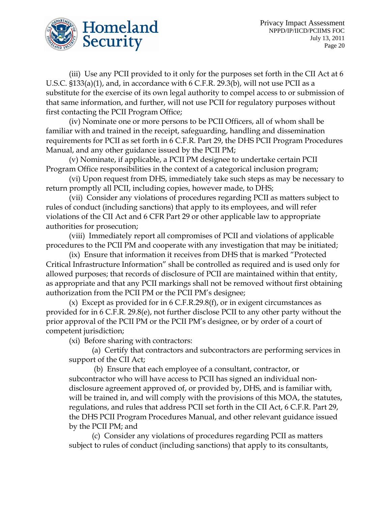

(iii) Use any PCII provided to it only for the purposes set forth in the CII Act at 6 U.S.C. §133(a)(1), and, in accordance with 6 C.F.R. 29.3(b), will not use PCII as a substitute for the exercise of its own legal authority to compel access to or submission of that same information, and further, will not use PCII for regulatory purposes without first contacting the PCII Program Office;

(iv) Nominate one or more persons to be PCII Officers, all of whom shall be familiar with and trained in the receipt, safeguarding, handling and dissemination requirements for PCII as set forth in 6 C.F.R. Part 29, the DHS PCII Program Procedures Manual, and any other guidance issued by the PCII PM;

(v) Nominate, if applicable, a PCII PM designee to undertake certain PCII Program Office responsibilities in the context of a categorical inclusion program;

(vi) Upon request from DHS, immediately take such steps as may be necessary to return promptly all PCII, including copies, however made, to DHS;

(vii) Consider any violations of procedures regarding PCII as matters subject to rules of conduct (including sanctions) that apply to its employees, and will refer violations of the CII Act and 6 CFR Part 29 or other applicable law to appropriate authorities for prosecution;

(viii) Immediately report all compromises of PCII and violations of applicable procedures to the PCII PM and cooperate with any investigation that may be initiated;

(ix) Ensure that information it receives from DHS that is marked "Protected Critical Infrastructure Information" shall be controlled as required and is used only for allowed purposes; that records of disclosure of PCII are maintained within that entity, as appropriate and that any PCII markings shall not be removed without first obtaining authorization from the PCII PM or the PCII PM's designee;

(x) Except as provided for in 6 C.F.R.29.8(f), or in exigent circumstances as provided for in 6 C.F.R. 29.8(e), not further disclose PCII to any other party without the prior approval of the PCII PM or the PCII PM's designee, or by order of a court of competent jurisdiction;

(xi) Before sharing with contractors:

(a) Certify that contractors and subcontractors are performing services in support of the CII Act;

(b) Ensure that each employee of a consultant, contractor, or subcontractor who will have access to PCII has signed an individual nondisclosure agreement approved of, or provided by, DHS, and is familiar with, will be trained in, and will comply with the provisions of this MOA, the statutes, regulations, and rules that address PCII set forth in the CII Act, 6 C.F.R. Part 29, the DHS PCII Program Procedures Manual, and other relevant guidance issued by the PCII PM; and

(c) Consider any violations of procedures regarding PCII as matters subject to rules of conduct (including sanctions) that apply to its consultants,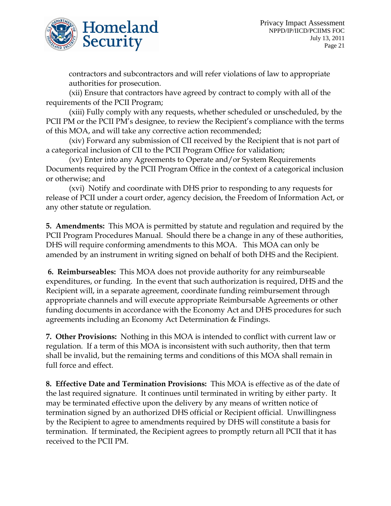

contractors and subcontractors and will refer violations of law to appropriate authorities for prosecution.

(xii) Ensure that contractors have agreed by contract to comply with all of the requirements of the PCII Program;

(xiii) Fully comply with any requests, whether scheduled or unscheduled, by the PCII PM or the PCII PM's designee, to review the Recipient's compliance with the terms of this MOA, and will take any corrective action recommended;

(xiv) Forward any submission of CII received by the Recipient that is not part of a categorical inclusion of CII to the PCII Program Office for validation;

(xv) Enter into any Agreements to Operate and/or System Requirements Documents required by the PCII Program Office in the context of a categorical inclusion or otherwise; and

(xvi) Notify and coordinate with DHS prior to responding to any requests for release of PCII under a court order, agency decision, the Freedom of Information Act, or any other statute or regulation.

**5. Amendments:** This MOA is permitted by statute and regulation and required by the PCII Program Procedures Manual. Should there be a change in any of these authorities, DHS will require conforming amendments to this MOA. This MOA can only be amended by an instrument in writing signed on behalf of both DHS and the Recipient.

**6. Reimburseables:** This MOA does not provide authority for any reimburseable expenditures, or funding. In the event that such authorization is required, DHS and the Recipient will, in a separate agreement, coordinate funding reimbursement through appropriate channels and will execute appropriate Reimbursable Agreements or other funding documents in accordance with the Economy Act and DHS procedures for such agreements including an Economy Act Determination & Findings.

**7. Other Provisions:** Nothing in this MOA is intended to conflict with current law or regulation. If a term of this MOA is inconsistent with such authority, then that term shall be invalid, but the remaining terms and conditions of this MOA shall remain in full force and effect.

**8. Effective Date and Termination Provisions:** This MOA is effective as of the date of the last required signature. It continues until terminated in writing by either party. It may be terminated effective upon the delivery by any means of written notice of termination signed by an authorized DHS official or Recipient official. Unwillingness by the Recipient to agree to amendments required by DHS will constitute a basis for termination. If terminated, the Recipient agrees to promptly return all PCII that it has received to the PCII PM.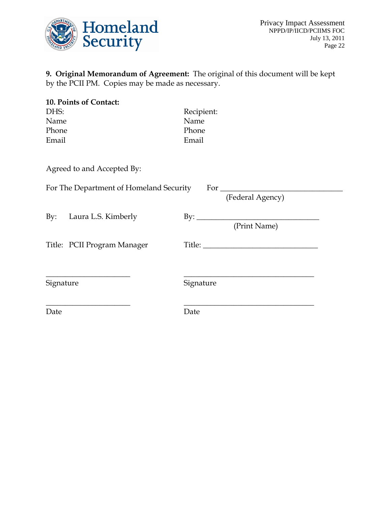

**9. Original Memorandum of Agreement:** The original of this document will be kept by the PCII PM. Copies may be made as necessary.

| 10. Points of Contact:      |                                     |
|-----------------------------|-------------------------------------|
| DHS:                        | Recipient:                          |
| Name                        | Name                                |
| Phone                       | Phone                               |
| Email                       | Email                               |
| Agreed to and Accepted By:  |                                     |
|                             | (Federal Agency)                    |
| By: Laura L.S. Kimberly     | By: $\qquad \qquad$<br>(Print Name) |
| Title: PCII Program Manager |                                     |
| Signature                   | Signature                           |
| Date                        | Date                                |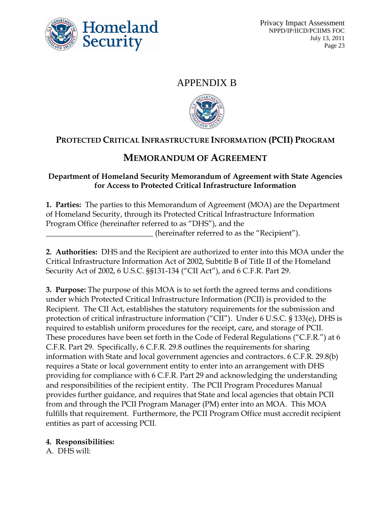

### APPENDIX B



# **PROTECTED CRITICAL INFRASTRUCTURE INFORMATION (PCII) PROGRAM**

# **MEMORANDUM OF AGREEMENT**

#### **Department of Homeland Security Memorandum of Agreement with State Agencies for Access to Protected Critical Infrastructure Information**

**1. Parties:** The parties to this Memorandum of Agreement (MOA) are the Department of Homeland Security, through its Protected Critical Infrastructure Information Program Office (hereinafter referred to as "DHS"), and the (hereinafter referred to as the "Recipient").

**2. Authorities:** DHS and the Recipient are authorized to enter into this MOA under the Critical Infrastructure Information Act of 2002, Subtitle B of Title II of the Homeland Security Act of 2002, 6 U.S.C. §§131-134 ("CII Act"), and 6 C.F.R. Part 29.

**3. Purpose:** The purpose of this MOA is to set forth the agreed terms and conditions under which Protected Critical Infrastructure Information (PCII) is provided to the Recipient. The CII Act, establishes the statutory requirements for the submission and protection of critical infrastructure information ("CII"). Under 6 U.S.C. § 133(e), DHS is required to establish uniform procedures for the receipt, care, and storage of PCII. These procedures have been set forth in the Code of Federal Regulations ("C.F.R.") at 6 C.F.R. Part 29. Specifically, 6 C.F.R. 29.8 outlines the requirements for sharing information with State and local government agencies and contractors. 6 C.F.R. 29.8(b) requires a State or local government entity to enter into an arrangement with DHS providing for compliance with 6 C.F.R. Part 29 and acknowledging the understanding and responsibilities of the recipient entity. The PCII Program Procedures Manual provides further guidance, and requires that State and local agencies that obtain PCII from and through the PCII Program Manager (PM) enter into an MOA. This MOA fulfills that requirement. Furthermore, the PCII Program Office must accredit recipient entities as part of accessing PCII.

#### **4. Responsibilities:**

A. DHS will: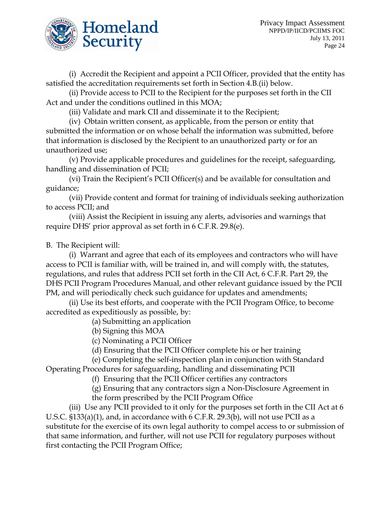

(i) Accredit the Recipient and appoint a PCII Officer, provided that the entity has satisfied the accreditation requirements set forth in Section 4.B.(ii) below.

(ii) Provide access to PCII to the Recipient for the purposes set forth in the CII Act and under the conditions outlined in this MOA;

(iii) Validate and mark CII and disseminate it to the Recipient;

(iv) Obtain written consent, as applicable, from the person or entity that submitted the information or on whose behalf the information was submitted, before that information is disclosed by the Recipient to an unauthorized party or for an unauthorized use;

(v) Provide applicable procedures and guidelines for the receipt, safeguarding, handling and dissemination of PCII;

(vi) Train the Recipient's PCII Officer(s) and be available for consultation and guidance;

(vii) Provide content and format for training of individuals seeking authorization to access PCII; and

(viii) Assist the Recipient in issuing any alerts, advisories and warnings that require DHS' prior approval as set forth in 6 C.F.R. 29.8(e).

B. The Recipient will:

(i) Warrant and agree that each of its employees and contractors who will have access to PCII is familiar with, will be trained in, and will comply with, the statutes, regulations, and rules that address PCII set forth in the CII Act, 6 C.F.R. Part 29, the DHS PCII Program Procedures Manual, and other relevant guidance issued by the PCII PM, and will periodically check such guidance for updates and amendments;

(ii) Use its best efforts, and cooperate with the PCII Program Office, to become accredited as expeditiously as possible, by:

(a) Submitting an application

(b) Signing this MOA

(c) Nominating a PCII Officer

(d) Ensuring that the PCII Officer complete his or her training

(e) Completing the self-inspection plan in conjunction with Standard

Operating Procedures for safeguarding, handling and disseminating PCII

(f) Ensuring that the PCII Officer certifies any contractors

(g) Ensuring that any contractors sign a Non-Disclosure Agreement in the form prescribed by the PCII Program Office

(iii) Use any PCII provided to it only for the purposes set forth in the CII Act at 6 U.S.C. §133(a)(1), and, in accordance with 6 C.F.R. 29.3(b), will not use PCII as a substitute for the exercise of its own legal authority to compel access to or submission of that same information, and further, will not use PCII for regulatory purposes without first contacting the PCII Program Office;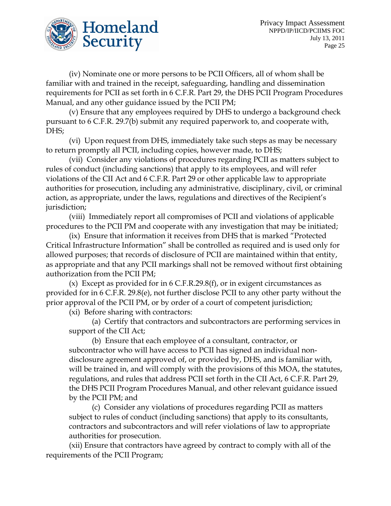

(iv) Nominate one or more persons to be PCII Officers, all of whom shall be familiar with and trained in the receipt, safeguarding, handling and dissemination requirements for PCII as set forth in 6 C.F.R. Part 29, the DHS PCII Program Procedures Manual, and any other guidance issued by the PCII PM;

(v) Ensure that any employees required by DHS to undergo a background check pursuant to 6 C.F.R. 29.7(b) submit any required paperwork to, and cooperate with, DHS;

(vi) Upon request from DHS, immediately take such steps as may be necessary to return promptly all PCII, including copies, however made, to DHS;

(vii) Consider any violations of procedures regarding PCII as matters subject to rules of conduct (including sanctions) that apply to its employees, and will refer violations of the CII Act and 6 C.F.R. Part 29 or other applicable law to appropriate authorities for prosecution, including any administrative, disciplinary, civil, or criminal action, as appropriate, under the laws, regulations and directives of the Recipient's jurisdiction;

(viii) Immediately report all compromises of PCII and violations of applicable procedures to the PCII PM and cooperate with any investigation that may be initiated;

(ix) Ensure that information it receives from DHS that is marked "Protected Critical Infrastructure Information" shall be controlled as required and is used only for allowed purposes; that records of disclosure of PCII are maintained within that entity, as appropriate and that any PCII markings shall not be removed without first obtaining authorization from the PCII PM;

(x) Except as provided for in  $6$  C.F.R.29.8(f), or in exigent circumstances as provided for in 6 C.F.R. 29.8(e), not further disclose PCII to any other party without the prior approval of the PCII PM, or by order of a court of competent jurisdiction;

(xi) Before sharing with contractors:

(a) Certify that contractors and subcontractors are performing services in support of the CII Act;

(b) Ensure that each employee of a consultant, contractor, or subcontractor who will have access to PCII has signed an individual nondisclosure agreement approved of, or provided by, DHS, and is familiar with, will be trained in, and will comply with the provisions of this MOA, the statutes, regulations, and rules that address PCII set forth in the CII Act, 6 C.F.R. Part 29, the DHS PCII Program Procedures Manual, and other relevant guidance issued by the PCII PM; and

(c) Consider any violations of procedures regarding PCII as matters subject to rules of conduct (including sanctions) that apply to its consultants, contractors and subcontractors and will refer violations of law to appropriate authorities for prosecution.

(xii) Ensure that contractors have agreed by contract to comply with all of the requirements of the PCII Program;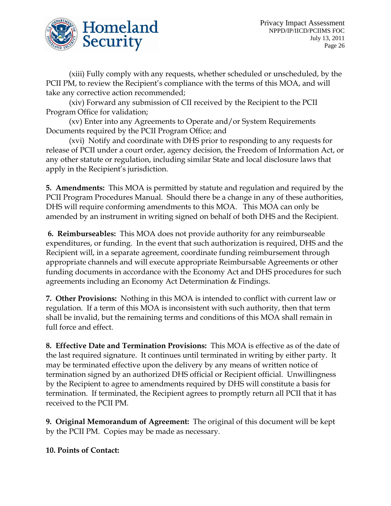

(xiii) Fully comply with any requests, whether scheduled or unscheduled, by the PCII PM, to review the Recipient's compliance with the terms of this MOA, and will take any corrective action recommended;

(xiv) Forward any submission of CII received by the Recipient to the PCII Program Office for validation;

(xv) Enter into any Agreements to Operate and/or System Requirements Documents required by the PCII Program Office; and

(xvi) Notify and coordinate with DHS prior to responding to any requests for release of PCII under a court order, agency decision, the Freedom of Information Act, or any other statute or regulation, including similar State and local disclosure laws that apply in the Recipient's jurisdiction.

**5. Amendments:** This MOA is permitted by statute and regulation and required by the PCII Program Procedures Manual. Should there be a change in any of these authorities, DHS will require conforming amendments to this MOA. This MOA can only be amended by an instrument in writing signed on behalf of both DHS and the Recipient.

**6. Reimburseables:** This MOA does not provide authority for any reimburseable expenditures, or funding. In the event that such authorization is required, DHS and the Recipient will, in a separate agreement, coordinate funding reimbursement through appropriate channels and will execute appropriate Reimbursable Agreements or other funding documents in accordance with the Economy Act and DHS procedures for such agreements including an Economy Act Determination & Findings.

**7. Other Provisions:** Nothing in this MOA is intended to conflict with current law or regulation. If a term of this MOA is inconsistent with such authority, then that term shall be invalid, but the remaining terms and conditions of this MOA shall remain in full force and effect.

**8. Effective Date and Termination Provisions:** This MOA is effective as of the date of the last required signature. It continues until terminated in writing by either party. It may be terminated effective upon the delivery by any means of written notice of termination signed by an authorized DHS official or Recipient official. Unwillingness by the Recipient to agree to amendments required by DHS will constitute a basis for termination. If terminated, the Recipient agrees to promptly return all PCII that it has received to the PCII PM.

**9. Original Memorandum of Agreement:** The original of this document will be kept by the PCII PM. Copies may be made as necessary.

**10. Points of Contact:**